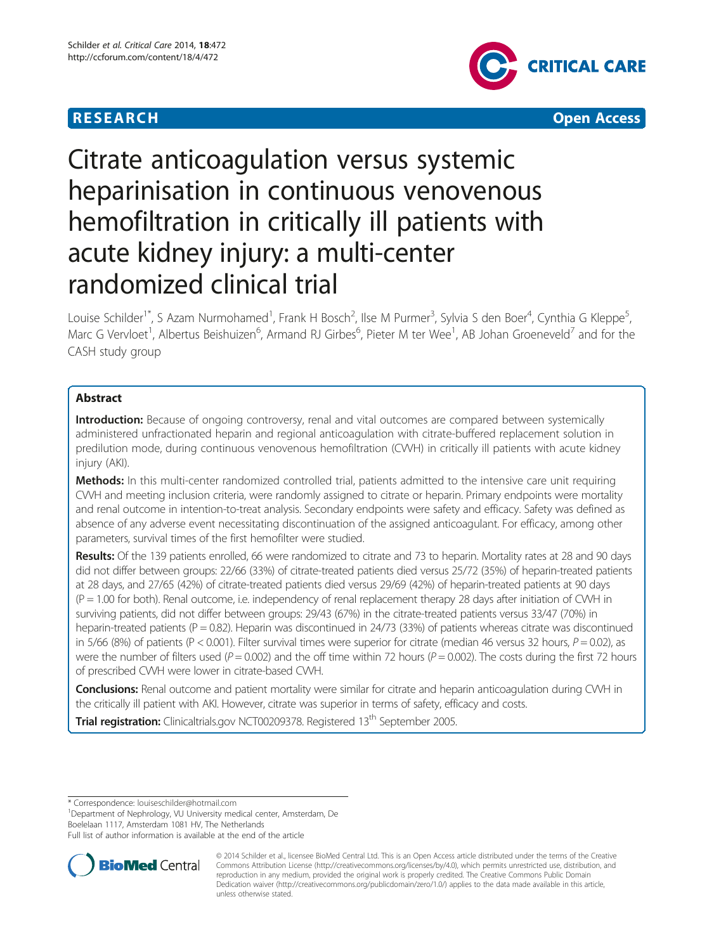## **RESEARCH CHEAR CHEAR CHEAR CHEAR CHEAR CHEAR CHEAR CHEAR CHEAR CHEAR CHEAR CHEAR CHEAR CHEAR CHEAR CHEAR CHEAR**



# Citrate anticoagulation versus systemic heparinisation in continuous venovenous hemofiltration in critically ill patients with acute kidney injury: a multi-center randomized clinical trial

Louise Schilder<sup>1\*</sup>, S Azam Nurmohamed<sup>1</sup>, Frank H Bosch<sup>2</sup>, Ilse M Purmer<sup>3</sup>, Sylvia S den Boer<sup>4</sup>, Cynthia G Kleppe<sup>5</sup> , Marc G Vervloet<sup>1</sup>, Albertus Beishuizen<sup>6</sup>, Armand RJ Girbes<sup>6</sup>, Pieter M ter Wee<sup>1</sup>, AB Johan Groeneveld<sup>7</sup> and for the CASH study group

## Abstract

Introduction: Because of ongoing controversy, renal and vital outcomes are compared between systemically administered unfractionated heparin and regional anticoagulation with citrate-buffered replacement solution in predilution mode, during continuous venovenous hemofiltration (CVVH) in critically ill patients with acute kidney injury (AKI).

Methods: In this multi-center randomized controlled trial, patients admitted to the intensive care unit requiring CVVH and meeting inclusion criteria, were randomly assigned to citrate or heparin. Primary endpoints were mortality and renal outcome in intention-to-treat analysis. Secondary endpoints were safety and efficacy. Safety was defined as absence of any adverse event necessitating discontinuation of the assigned anticoagulant. For efficacy, among other parameters, survival times of the first hemofilter were studied.

Results: Of the 139 patients enrolled, 66 were randomized to citrate and 73 to heparin. Mortality rates at 28 and 90 days did not differ between groups: 22/66 (33%) of citrate-treated patients died versus 25/72 (35%) of heparin-treated patients at 28 days, and 27/65 (42%) of citrate-treated patients died versus 29/69 (42%) of heparin-treated patients at 90 days (P = 1.00 for both). Renal outcome, i.e. independency of renal replacement therapy 28 days after initiation of CVVH in surviving patients, did not differ between groups: 29/43 (67%) in the citrate-treated patients versus 33/47 (70%) in heparin-treated patients ( $P = 0.82$ ). Heparin was discontinued in 24/73 (33%) of patients whereas citrate was discontinued in  $5/66$  (8%) of patients (P < 0.001). Filter survival times were superior for citrate (median 46 versus 32 hours,  $P = 0.02$ ), as were the number of filters used ( $P = 0.002$ ) and the off time within 72 hours ( $P = 0.002$ ). The costs during the first 72 hours of prescribed CVVH were lower in citrate-based CVVH.

Conclusions: Renal outcome and patient mortality were similar for citrate and heparin anticoagulation during CWH in the critically ill patient with AKI. However, citrate was superior in terms of safety, efficacy and costs.

Trial registration: Clinicaltrials.gov [NCT00209378.](http://clinicaltrials.gov/show/NCT00209378) Registered 13<sup>th</sup> September 2005.

\* Correspondence: [louiseschilder@hotmail.com](mailto:louiseschilder@hotmail.com) <sup>1</sup>

<sup>1</sup>Department of Nephrology, VU University medical center, Amsterdam, De Boelelaan 1117, Amsterdam 1081 HV, The Netherlands

Full list of author information is available at the end of the article



<sup>© 2014</sup> Schilder et al., licensee BioMed Central Ltd. This is an Open Access article distributed under the terms of the Creative Commons Attribution License [\(http://creativecommons.org/licenses/by/4.0\)](http://creativecommons.org/licenses/by/4.0), which permits unrestricted use, distribution, and reproduction in any medium, provided the original work is properly credited. The Creative Commons Public Domain Dedication waiver [\(http://creativecommons.org/publicdomain/zero/1.0/](http://creativecommons.org/publicdomain/zero/1.0/)) applies to the data made available in this article, unless otherwise stated.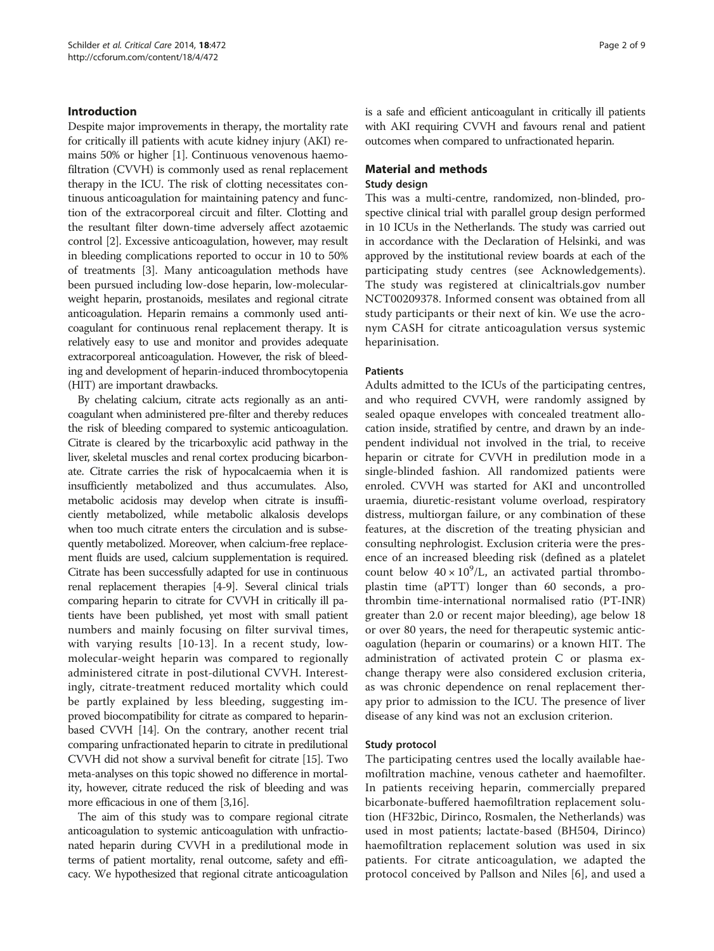## Introduction

Despite major improvements in therapy, the mortality rate for critically ill patients with acute kidney injury (AKI) remains 50% or higher [[1\]](#page-8-0). Continuous venovenous haemofiltration (CVVH) is commonly used as renal replacement therapy in the ICU. The risk of clotting necessitates continuous anticoagulation for maintaining patency and function of the extracorporeal circuit and filter. Clotting and the resultant filter down-time adversely affect azotaemic control [\[2](#page-8-0)]. Excessive anticoagulation, however, may result in bleeding complications reported to occur in 10 to 50% of treatments [[3](#page-8-0)]. Many anticoagulation methods have been pursued including low-dose heparin, low-molecularweight heparin, prostanoids, mesilates and regional citrate anticoagulation. Heparin remains a commonly used anticoagulant for continuous renal replacement therapy. It is relatively easy to use and monitor and provides adequate extracorporeal anticoagulation. However, the risk of bleeding and development of heparin-induced thrombocytopenia (HIT) are important drawbacks.

By chelating calcium, citrate acts regionally as an anticoagulant when administered pre-filter and thereby reduces the risk of bleeding compared to systemic anticoagulation. Citrate is cleared by the tricarboxylic acid pathway in the liver, skeletal muscles and renal cortex producing bicarbonate. Citrate carries the risk of hypocalcaemia when it is insufficiently metabolized and thus accumulates. Also, metabolic acidosis may develop when citrate is insufficiently metabolized, while metabolic alkalosis develops when too much citrate enters the circulation and is subsequently metabolized. Moreover, when calcium-free replacement fluids are used, calcium supplementation is required. Citrate has been successfully adapted for use in continuous renal replacement therapies [[4](#page-8-0)-[9](#page-8-0)]. Several clinical trials comparing heparin to citrate for CVVH in critically ill patients have been published, yet most with small patient numbers and mainly focusing on filter survival times, with varying results [[10](#page-8-0)-[13\]](#page-8-0). In a recent study, lowmolecular-weight heparin was compared to regionally administered citrate in post-dilutional CVVH. Interestingly, citrate-treatment reduced mortality which could be partly explained by less bleeding, suggesting improved biocompatibility for citrate as compared to heparinbased CVVH [\[14\]](#page-8-0). On the contrary, another recent trial comparing unfractionated heparin to citrate in predilutional CVVH did not show a survival benefit for citrate [\[15\]](#page-8-0). Two meta-analyses on this topic showed no difference in mortality, however, citrate reduced the risk of bleeding and was more efficacious in one of them [[3,16\]](#page-8-0).

The aim of this study was to compare regional citrate anticoagulation to systemic anticoagulation with unfractionated heparin during CVVH in a predilutional mode in terms of patient mortality, renal outcome, safety and efficacy. We hypothesized that regional citrate anticoagulation is a safe and efficient anticoagulant in critically ill patients with AKI requiring CVVH and favours renal and patient outcomes when compared to unfractionated heparin.

## Material and methods Study design

This was a multi-centre, randomized, non-blinded, prospective clinical trial with parallel group design performed in 10 ICUs in the Netherlands. The study was carried out in accordance with the Declaration of Helsinki, and was approved by the institutional review boards at each of the participating study centres (see [Acknowledgements](#page-8-0)). The study was registered at clinicaltrials.gov number NCT00209378. Informed consent was obtained from all study participants or their next of kin. We use the acronym CASH for citrate anticoagulation versus systemic heparinisation.

#### Patients

Adults admitted to the ICUs of the participating centres, and who required CVVH, were randomly assigned by sealed opaque envelopes with concealed treatment allocation inside, stratified by centre, and drawn by an independent individual not involved in the trial, to receive heparin or citrate for CVVH in predilution mode in a single-blinded fashion. All randomized patients were enroled. CVVH was started for AKI and uncontrolled uraemia, diuretic-resistant volume overload, respiratory distress, multiorgan failure, or any combination of these features, at the discretion of the treating physician and consulting nephrologist. Exclusion criteria were the presence of an increased bleeding risk (defined as a platelet count below  $40 \times 10^9$ /L, an activated partial thromboplastin time (aPTT) longer than 60 seconds, a prothrombin time-international normalised ratio (PT-INR) greater than 2.0 or recent major bleeding), age below 18 or over 80 years, the need for therapeutic systemic anticoagulation (heparin or coumarins) or a known HIT. The administration of activated protein C or plasma exchange therapy were also considered exclusion criteria, as was chronic dependence on renal replacement therapy prior to admission to the ICU. The presence of liver disease of any kind was not an exclusion criterion.

#### Study protocol

The participating centres used the locally available haemofiltration machine, venous catheter and haemofilter. In patients receiving heparin, commercially prepared bicarbonate-buffered haemofiltration replacement solution (HF32bic, Dirinco, Rosmalen, the Netherlands) was used in most patients; lactate-based (BH504, Dirinco) haemofiltration replacement solution was used in six patients. For citrate anticoagulation, we adapted the protocol conceived by Pallson and Niles [[6\]](#page-8-0), and used a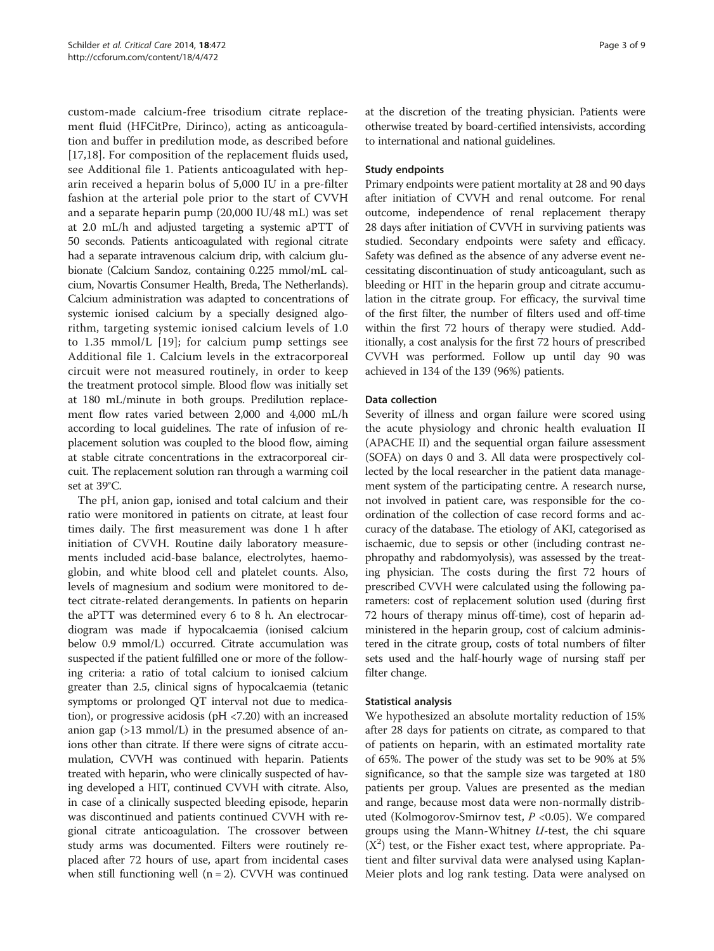custom-made calcium-free trisodium citrate replacement fluid (HFCitPre, Dirinco), acting as anticoagulation and buffer in predilution mode, as described before [[17,18](#page-8-0)]. For composition of the replacement fluids used, see Additional file [1.](#page-7-0) Patients anticoagulated with heparin received a heparin bolus of 5,000 IU in a pre-filter fashion at the arterial pole prior to the start of CVVH and a separate heparin pump (20,000 IU/48 mL) was set at 2.0 mL/h and adjusted targeting a systemic aPTT of 50 seconds. Patients anticoagulated with regional citrate had a separate intravenous calcium drip, with calcium glubionate (Calcium Sandoz, containing 0.225 mmol/mL calcium, Novartis Consumer Health, Breda, The Netherlands). Calcium administration was adapted to concentrations of systemic ionised calcium by a specially designed algorithm, targeting systemic ionised calcium levels of 1.0 to 1.35 mmol/L [[19](#page-8-0)]; for calcium pump settings see Additional file [1](#page-7-0). Calcium levels in the extracorporeal circuit were not measured routinely, in order to keep the treatment protocol simple. Blood flow was initially set at 180 mL/minute in both groups. Predilution replacement flow rates varied between 2,000 and 4,000 mL/h according to local guidelines. The rate of infusion of replacement solution was coupled to the blood flow, aiming at stable citrate concentrations in the extracorporeal circuit. The replacement solution ran through a warming coil set at 39°C.

The pH, anion gap, ionised and total calcium and their ratio were monitored in patients on citrate, at least four times daily. The first measurement was done 1 h after initiation of CVVH. Routine daily laboratory measurements included acid-base balance, electrolytes, haemoglobin, and white blood cell and platelet counts. Also, levels of magnesium and sodium were monitored to detect citrate-related derangements. In patients on heparin the aPTT was determined every 6 to 8 h. An electrocardiogram was made if hypocalcaemia (ionised calcium below 0.9 mmol/L) occurred. Citrate accumulation was suspected if the patient fulfilled one or more of the following criteria: a ratio of total calcium to ionised calcium greater than 2.5, clinical signs of hypocalcaemia (tetanic symptoms or prolonged QT interval not due to medication), or progressive acidosis (pH <7.20) with an increased anion gap (>13 mmol/L) in the presumed absence of anions other than citrate. If there were signs of citrate accumulation, CVVH was continued with heparin. Patients treated with heparin, who were clinically suspected of having developed a HIT, continued CVVH with citrate. Also, in case of a clinically suspected bleeding episode, heparin was discontinued and patients continued CVVH with regional citrate anticoagulation. The crossover between study arms was documented. Filters were routinely replaced after 72 hours of use, apart from incidental cases when still functioning well  $(n = 2)$ . CVVH was continued

at the discretion of the treating physician. Patients were otherwise treated by board-certified intensivists, according to international and national guidelines.

## Study endpoints

Primary endpoints were patient mortality at 28 and 90 days after initiation of CVVH and renal outcome. For renal outcome, independence of renal replacement therapy 28 days after initiation of CVVH in surviving patients was studied. Secondary endpoints were safety and efficacy. Safety was defined as the absence of any adverse event necessitating discontinuation of study anticoagulant, such as bleeding or HIT in the heparin group and citrate accumulation in the citrate group. For efficacy, the survival time of the first filter, the number of filters used and off-time within the first 72 hours of therapy were studied. Additionally, a cost analysis for the first 72 hours of prescribed CVVH was performed. Follow up until day 90 was achieved in 134 of the 139 (96%) patients.

## Data collection

Severity of illness and organ failure were scored using the acute physiology and chronic health evaluation II (APACHE II) and the sequential organ failure assessment (SOFA) on days 0 and 3. All data were prospectively collected by the local researcher in the patient data management system of the participating centre. A research nurse, not involved in patient care, was responsible for the coordination of the collection of case record forms and accuracy of the database. The etiology of AKI, categorised as ischaemic, due to sepsis or other (including contrast nephropathy and rabdomyolysis), was assessed by the treating physician. The costs during the first 72 hours of prescribed CVVH were calculated using the following parameters: cost of replacement solution used (during first 72 hours of therapy minus off-time), cost of heparin administered in the heparin group, cost of calcium administered in the citrate group, costs of total numbers of filter sets used and the half-hourly wage of nursing staff per filter change.

#### Statistical analysis

We hypothesized an absolute mortality reduction of 15% after 28 days for patients on citrate, as compared to that of patients on heparin, with an estimated mortality rate of 65%. The power of the study was set to be 90% at 5% significance, so that the sample size was targeted at 180 patients per group. Values are presented as the median and range, because most data were non-normally distributed (Kolmogorov-Smirnov test,  $P < 0.05$ ). We compared groups using the Mann-Whitney  $U$ -test, the chi square  $(X<sup>2</sup>)$  test, or the Fisher exact test, where appropriate. Patient and filter survival data were analysed using Kaplan-Meier plots and log rank testing. Data were analysed on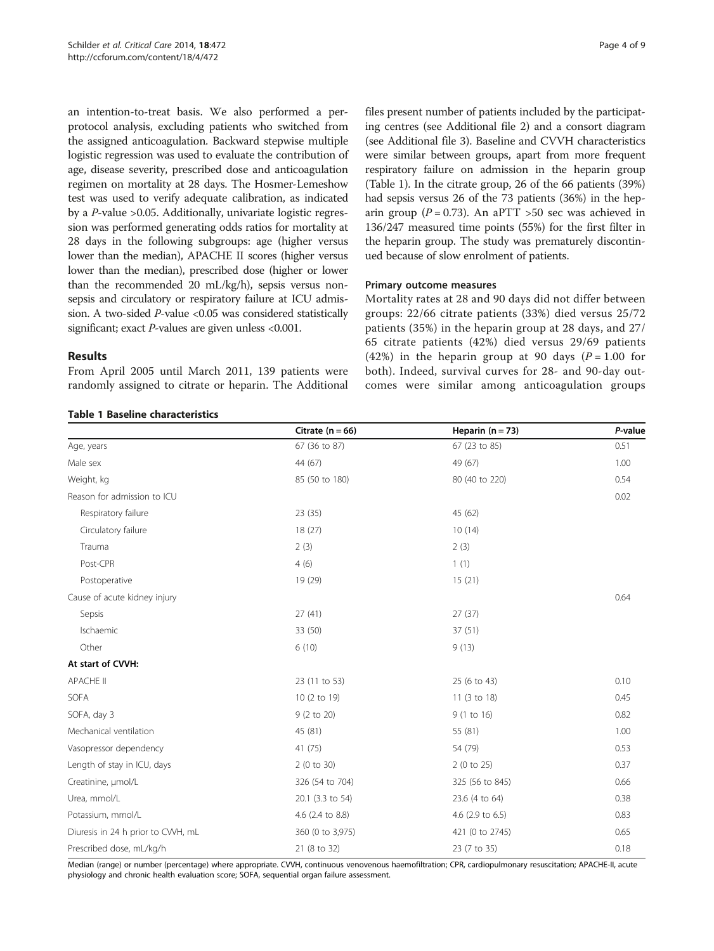an intention-to-treat basis. We also performed a perprotocol analysis, excluding patients who switched from the assigned anticoagulation. Backward stepwise multiple logistic regression was used to evaluate the contribution of age, disease severity, prescribed dose and anticoagulation regimen on mortality at 28 days. The Hosmer-Lemeshow test was used to verify adequate calibration, as indicated by a P-value >0.05. Additionally, univariate logistic regression was performed generating odds ratios for mortality at 28 days in the following subgroups: age (higher versus lower than the median), APACHE II scores (higher versus lower than the median), prescribed dose (higher or lower than the recommended 20 mL/kg/h), sepsis versus nonsepsis and circulatory or respiratory failure at ICU admission. A two-sided  $P$ -value <0.05 was considered statistically

significant; exact *P*-values are given unless <0.001.

From April 2005 until March 2011, 139 patients were randomly assigned to citrate or heparin. The Additional

Results

files present number of patients included by the participating centres (see Additional file [2\)](#page-7-0) and a consort diagram (see Additional file [3\)](#page-7-0). Baseline and CVVH characteristics were similar between groups, apart from more frequent respiratory failure on admission in the heparin group (Table 1). In the citrate group, 26 of the 66 patients (39%) had sepsis versus 26 of the 73 patients (36%) in the heparin group ( $P = 0.73$ ). An aPTT > 50 sec was achieved in 136/247 measured time points (55%) for the first filter in the heparin group. The study was prematurely discontinued because of slow enrolment of patients.

#### Primary outcome measures

Mortality rates at 28 and 90 days did not differ between groups: 22/66 citrate patients (33%) died versus 25/72 patients (35%) in the heparin group at 28 days, and 27/ 65 citrate patients (42%) died versus 29/69 patients (42%) in the heparin group at 90 days ( $P = 1.00$  for both). Indeed, survival curves for 28- and 90-day outcomes were similar among anticoagulation groups

dian (range) or number (percentage) where appropriate. CVVH, continuous venovenous haemofiltration; CPR, cardiopulmonary resuscitation; APACHE-II, a physiology and chronic health evaluation score; SOFA, sequential organ failure assessment.

|                                   | Citrate $(n = 66)$ | Heparin $(n = 73)$ | P-value |
|-----------------------------------|--------------------|--------------------|---------|
| Age, years                        | 67 (36 to 87)      | 67 (23 to 85)      | 0.51    |
| Male sex                          | 44 (67)            | 49 (67)            | 1.00    |
| Weight, kg                        | 85 (50 to 180)     | 80 (40 to 220)     | 0.54    |
| Reason for admission to ICU       |                    |                    | 0.02    |
| Respiratory failure               | 23(35)             | 45 (62)            |         |
| Circulatory failure               | 18 (27)            | 10(14)             |         |
| Trauma                            | 2(3)               | 2(3)               |         |
| Post-CPR                          | 4(6)               | 1(1)               |         |
| Postoperative                     | 19 (29)            | 15(21)             |         |
| Cause of acute kidney injury      |                    |                    | 0.64    |
| Sepsis                            | 27(41)             | 27(37)             |         |
| Ischaemic                         | 33 (50)            | 37(51)             |         |
| Other                             | 6(10)              | 9(13)              |         |
| At start of CVVH:                 |                    |                    |         |
| APACHE II                         | 23 (11 to 53)      | 25 (6 to 43)       | 0.10    |
| SOFA                              | 10 (2 to 19)       | 11 (3 to 18)       | 0.45    |
| SOFA, day 3                       | 9 (2 to 20)        | 9 (1 to 16)        | 0.82    |
| Mechanical ventilation            | 45 (81)            | 55 (81)            | 1.00    |
| Vasopressor dependency            | 41 (75)            | 54 (79)            | 0.53    |
| Length of stay in ICU, days       | 2(0 to 30)         | 2(0 to 25)         | 0.37    |
| Creatinine, µmol/L                | 326 (54 to 704)    | 325 (56 to 845)    | 0.66    |
| Urea, mmol/L                      | 20.1 (3.3 to 54)   | 23.6 (4 to 64)     | 0.38    |
| Potassium, mmol/L                 | 4.6 (2.4 to 8.8)   | 4.6 (2.9 to 6.5)   | 0.83    |
| Diuresis in 24 h prior to CWH, mL | 360 (0 to 3,975)   | 421 (0 to 2745)    | 0.65    |
| Prescribed dose, mL/kg/h          | 21 (8 to 32)       | 23 (7 to 35)       | 0.18    |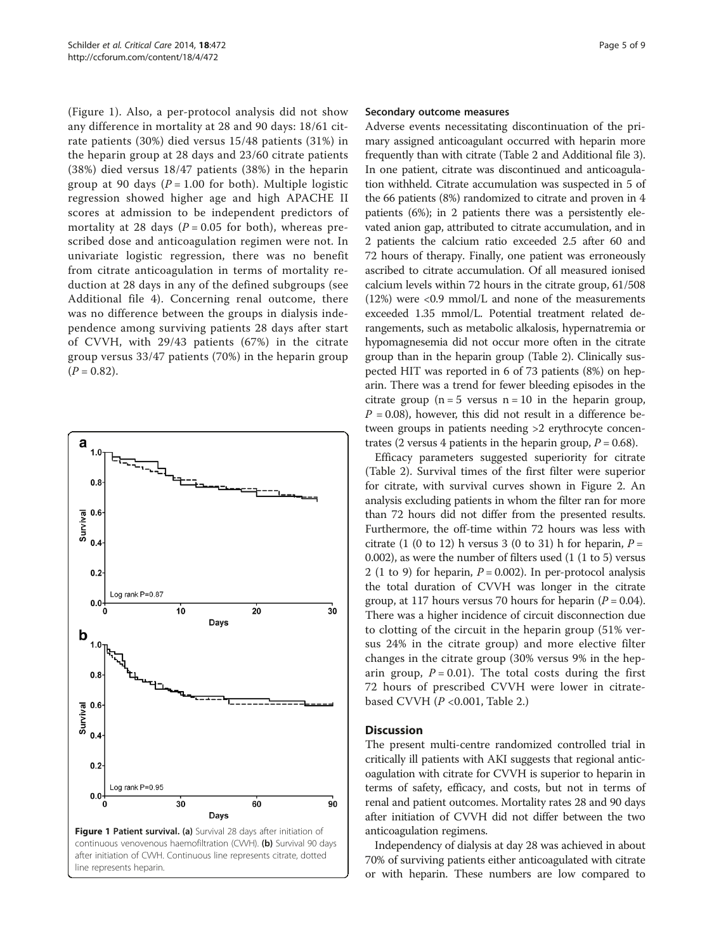(Figure 1). Also, a per-protocol analysis did not show any difference in mortality at 28 and 90 days: 18/61 citrate patients (30%) died versus 15/48 patients (31%) in the heparin group at 28 days and 23/60 citrate patients (38%) died versus 18/47 patients (38%) in the heparin group at 90 days ( $P = 1.00$  for both). Multiple logistic regression showed higher age and high APACHE II scores at admission to be independent predictors of mortality at 28 days ( $P = 0.05$  for both), whereas prescribed dose and anticoagulation regimen were not. In univariate logistic regression, there was no benefit from citrate anticoagulation in terms of mortality reduction at 28 days in any of the defined subgroups (see Additional file [4\)](#page-7-0). Concerning renal outcome, there was no difference between the groups in dialysis independence among surviving patients 28 days after start of CVVH, with 29/43 patients (67%) in the citrate group versus 33/47 patients (70%) in the heparin group  $(P = 0.82)$ .



#### Secondary outcome measures

Adverse events necessitating discontinuation of the primary assigned anticoagulant occurred with heparin more frequently than with citrate (Table [2](#page-5-0) and Additional file [3](#page-7-0)). In one patient, citrate was discontinued and anticoagulation withheld. Citrate accumulation was suspected in 5 of the 66 patients (8%) randomized to citrate and proven in 4 patients (6%); in 2 patients there was a persistently elevated anion gap, attributed to citrate accumulation, and in 2 patients the calcium ratio exceeded 2.5 after 60 and 72 hours of therapy. Finally, one patient was erroneously ascribed to citrate accumulation. Of all measured ionised calcium levels within 72 hours in the citrate group, 61/508 (12%) were <0.9 mmol/L and none of the measurements exceeded 1.35 mmol/L. Potential treatment related derangements, such as metabolic alkalosis, hypernatremia or hypomagnesemia did not occur more often in the citrate group than in the heparin group (Table [2](#page-5-0)). Clinically suspected HIT was reported in 6 of 73 patients (8%) on heparin. There was a trend for fewer bleeding episodes in the citrate group  $(n = 5$  versus  $n = 10$  in the heparin group,  $P = 0.08$ ), however, this did not result in a difference between groups in patients needing >2 erythrocyte concentrates (2 versus 4 patients in the heparin group,  $P = 0.68$ ).

Efficacy parameters suggested superiority for citrate (Table [2\)](#page-5-0). Survival times of the first filter were superior for citrate, with survival curves shown in Figure [2.](#page-6-0) An analysis excluding patients in whom the filter ran for more than 72 hours did not differ from the presented results. Furthermore, the off-time within 72 hours was less with citrate (1 (0 to 12) h versus 3 (0 to 31) h for heparin,  $P =$ 0.002), as were the number of filters used (1 (1 to 5) versus 2 (1 to 9) for heparin,  $P = 0.002$ ). In per-protocol analysis the total duration of CVVH was longer in the citrate group, at 117 hours versus 70 hours for heparin ( $P = 0.04$ ). There was a higher incidence of circuit disconnection due to clotting of the circuit in the heparin group (51% versus 24% in the citrate group) and more elective filter changes in the citrate group (30% versus 9% in the heparin group,  $P = 0.01$ ). The total costs during the first 72 hours of prescribed CVVH were lower in citratebased CVVH  $(P < 0.001$ , Table [2.](#page-5-0))

#### Discussion

The present multi-centre randomized controlled trial in critically ill patients with AKI suggests that regional anticoagulation with citrate for CVVH is superior to heparin in terms of safety, efficacy, and costs, but not in terms of renal and patient outcomes. Mortality rates 28 and 90 days after initiation of CVVH did not differ between the two anticoagulation regimens.

Independency of dialysis at day 28 was achieved in about 70% of surviving patients either anticoagulated with citrate or with heparin. These numbers are low compared to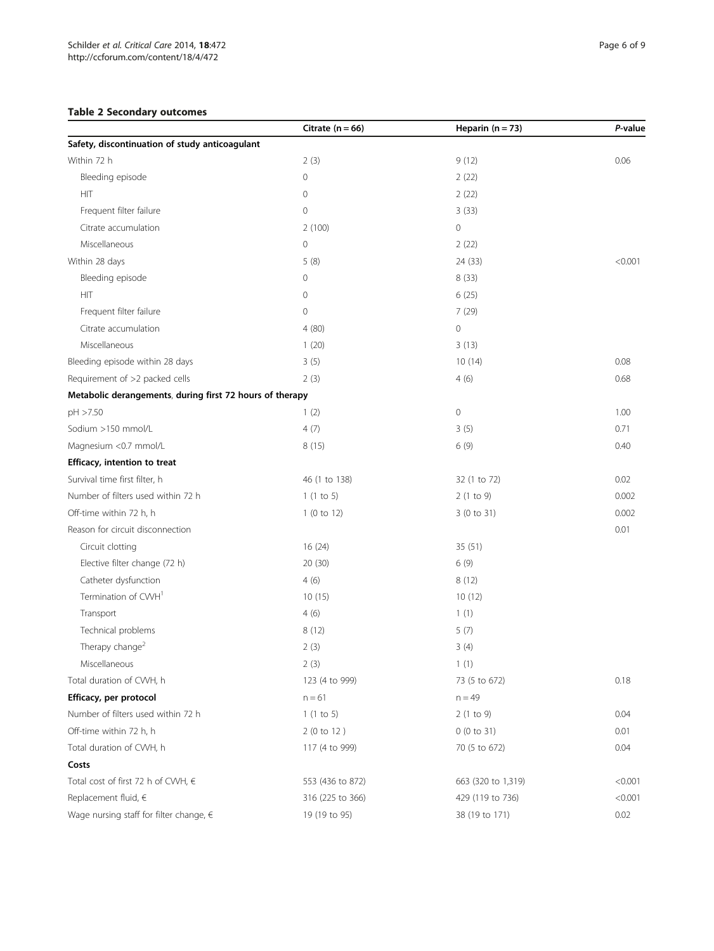## <span id="page-5-0"></span>Table 2 Secondary outcomes

|                                                          | Citrate ( $n = 66$ ) | Heparin $(n = 73)$ | P-value |
|----------------------------------------------------------|----------------------|--------------------|---------|
| Safety, discontinuation of study anticoagulant           |                      |                    |         |
| Within 72 h                                              | 2(3)                 | 9(12)              | 0.06    |
| Bleeding episode                                         | $\mathbf 0$          | 2(22)              |         |
| HIT                                                      | $\circ$              | 2(22)              |         |
| Frequent filter failure                                  | $\mathbf 0$          | 3(33)              |         |
| Citrate accumulation                                     | 2(100)               | $\mathbf{0}$       |         |
| Miscellaneous                                            | $\circ$              | 2(22)              |         |
| Within 28 days                                           | 5(8)                 | 24 (33)            | < 0.001 |
| Bleeding episode                                         | $\mathbf 0$          | 8(33)              |         |
| <b>HIT</b>                                               | $\circ$              | 6(25)              |         |
| Frequent filter failure                                  | $\mathbf 0$          | 7 (29)             |         |
| Citrate accumulation                                     | 4(80)                | $\circ$            |         |
| Miscellaneous                                            | 1(20)                | 3(13)              |         |
| Bleeding episode within 28 days                          | 3(5)                 | 10(14)             | 0.08    |
| Requirement of >2 packed cells                           | 2(3)                 | 4(6)               | 0.68    |
| Metabolic derangements, during first 72 hours of therapy |                      |                    |         |
| pH >7.50                                                 | 1(2)                 | $\mathbf 0$        | 1.00    |
| Sodium >150 mmol/L                                       | 4(7)                 | 3(5)               | 0.71    |
| Magnesium <0.7 mmol/L                                    | 8(15)                | 6(9)               | 0.40    |
| Efficacy, intention to treat                             |                      |                    |         |
| Survival time first filter, h                            | 46 (1 to 138)        | 32 (1 to 72)       | 0.02    |
| Number of filters used within 72 h                       | 1(1 to 5)            | 2(1 to 9)          | 0.002   |
| Off-time within 72 h, h                                  | 1(0 to 12)           | 3 (0 to 31)        | 0.002   |
| Reason for circuit disconnection                         |                      |                    | 0.01    |
| Circuit clotting                                         | 16(24)               | 35(51)             |         |
| Elective filter change (72 h)                            | 20 (30)              | 6(9)               |         |
| Catheter dysfunction                                     | 4(6)                 | 8(12)              |         |
| Termination of CWH <sup>1</sup>                          | 10(15)               | 10(12)             |         |
| Transport                                                | 4(6)                 | 1(1)               |         |
| Technical problems                                       | 8(12)                | 5(7)               |         |
| Therapy change <sup>2</sup>                              | 2(3)                 | 3(4)               |         |
| Miscellaneous                                            | 2(3)                 | 1(1)               |         |
| Total duration of CWH, h                                 | 123 (4 to 999)       | 73 (5 to 672)      | 0.18    |
| Efficacy, per protocol                                   | $n = 61$             | $n = 49$           |         |
| Number of filters used within 72 h                       | 1(1 to 5)            | 2(1 to 9)          | 0.04    |
| Off-time within 72 h, h                                  | 2(0 to 12)           | 0(0 to 31)         | 0.01    |
| Total duration of CWH, h                                 | 117 (4 to 999)       | 70 (5 to 672)      | 0.04    |
| Costs                                                    |                      |                    |         |
| Total cost of first 72 h of CWH, €                       | 553 (436 to 872)     | 663 (320 to 1,319) | < 0.001 |
| Replacement fluid, $\in$                                 | 316 (225 to 366)     | 429 (119 to 736)   | < 0.001 |
| Wage nursing staff for filter change, $\in$              | 19 (19 to 95)        | 38 (19 to 171)     | 0.02    |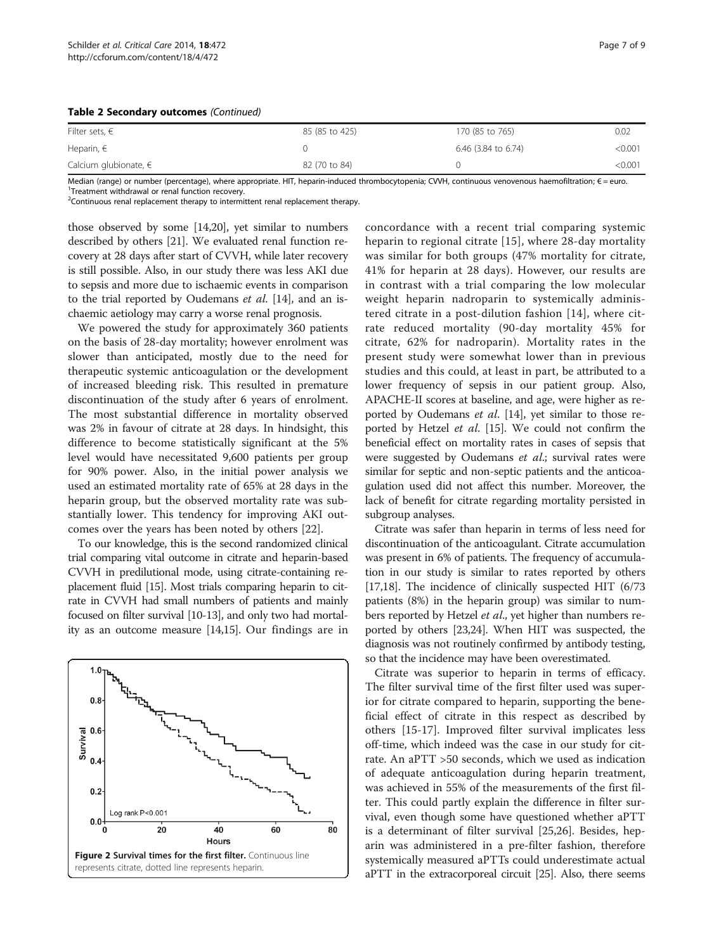<span id="page-6-0"></span>

| Table 2 Secondary outcomes (Continued) |  |  |
|----------------------------------------|--|--|
|----------------------------------------|--|--|

| Filter sets, $\epsilon$   | 85 (85 to 425) | 170 (85 to 765)     | 0.02    |
|---------------------------|----------------|---------------------|---------|
| Heparin, $\in$            |                | 6.46 (3.84 to 6.74) | < 0.001 |
| Calcium glubionate, $\in$ | 82 (70 to 84)  |                     | <0.001  |

Median (range) or number (percentage), where appropriate. HIT, heparin-induced thrombocytopenia; CVVH, continuous venovenous haemofiltration; € = euro. <sup>1</sup>Treatment withdrawal or renal function recovery

<sup>2</sup> Continuous renal replacement therapy to intermittent renal replacement therapy.

those observed by some [[14,20\]](#page-8-0), yet similar to numbers described by others [\[21\]](#page-8-0). We evaluated renal function recovery at 28 days after start of CVVH, while later recovery is still possible. Also, in our study there was less AKI due to sepsis and more due to ischaemic events in comparison to the trial reported by Oudemans et al. [\[14\]](#page-8-0), and an ischaemic aetiology may carry a worse renal prognosis.

We powered the study for approximately 360 patients on the basis of 28-day mortality; however enrolment was slower than anticipated, mostly due to the need for therapeutic systemic anticoagulation or the development of increased bleeding risk. This resulted in premature discontinuation of the study after 6 years of enrolment. The most substantial difference in mortality observed was 2% in favour of citrate at 28 days. In hindsight, this difference to become statistically significant at the 5% level would have necessitated 9,600 patients per group for 90% power. Also, in the initial power analysis we used an estimated mortality rate of 65% at 28 days in the heparin group, but the observed mortality rate was substantially lower. This tendency for improving AKI outcomes over the years has been noted by others [[22](#page-8-0)].

To our knowledge, this is the second randomized clinical trial comparing vital outcome in citrate and heparin-based CVVH in predilutional mode, using citrate-containing replacement fluid [\[15\]](#page-8-0). Most trials comparing heparin to citrate in CVVH had small numbers of patients and mainly focused on filter survival [\[10-13\]](#page-8-0), and only two had mortality as an outcome measure [\[14,15](#page-8-0)]. Our findings are in



concordance with a recent trial comparing systemic heparin to regional citrate [[15\]](#page-8-0), where 28-day mortality was similar for both groups (47% mortality for citrate, 41% for heparin at 28 days). However, our results are in contrast with a trial comparing the low molecular weight heparin nadroparin to systemically administered citrate in a post-dilution fashion [[14](#page-8-0)], where citrate reduced mortality (90-day mortality 45% for citrate, 62% for nadroparin). Mortality rates in the present study were somewhat lower than in previous studies and this could, at least in part, be attributed to a lower frequency of sepsis in our patient group. Also, APACHE-II scores at baseline, and age, were higher as reported by Oudemans et al. [\[14\]](#page-8-0), yet similar to those reported by Hetzel et al. [\[15\]](#page-8-0). We could not confirm the beneficial effect on mortality rates in cases of sepsis that were suggested by Oudemans et al.; survival rates were similar for septic and non-septic patients and the anticoagulation used did not affect this number. Moreover, the lack of benefit for citrate regarding mortality persisted in subgroup analyses.

Citrate was safer than heparin in terms of less need for discontinuation of the anticoagulant. Citrate accumulation was present in 6% of patients. The frequency of accumulation in our study is similar to rates reported by others [[17,18](#page-8-0)]. The incidence of clinically suspected HIT (6/73 patients (8%) in the heparin group) was similar to numbers reported by Hetzel et al., yet higher than numbers reported by others [[23](#page-8-0),[24](#page-8-0)]. When HIT was suspected, the diagnosis was not routinely confirmed by antibody testing, so that the incidence may have been overestimated.

Citrate was superior to heparin in terms of efficacy. The filter survival time of the first filter used was superior for citrate compared to heparin, supporting the beneficial effect of citrate in this respect as described by others [\[15](#page-8-0)-[17\]](#page-8-0). Improved filter survival implicates less off-time, which indeed was the case in our study for citrate. An aPTT >50 seconds, which we used as indication of adequate anticoagulation during heparin treatment, was achieved in 55% of the measurements of the first filter. This could partly explain the difference in filter survival, even though some have questioned whether aPTT is a determinant of filter survival [\[25,26](#page-8-0)]. Besides, heparin was administered in a pre-filter fashion, therefore systemically measured aPTTs could underestimate actual aPTT in the extracorporeal circuit [[25](#page-8-0)]. Also, there seems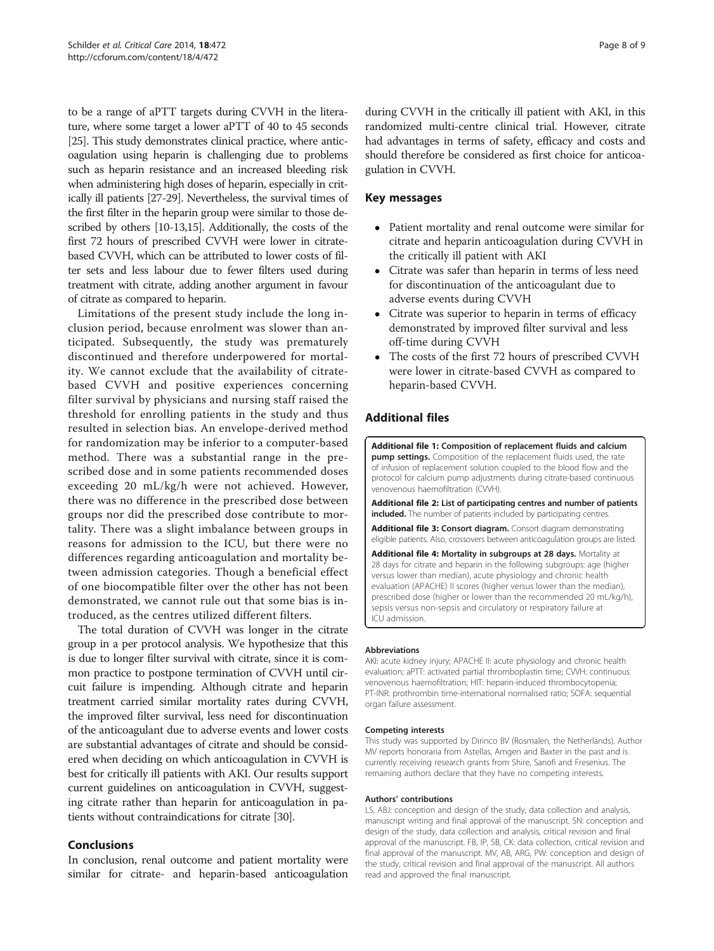<span id="page-7-0"></span>to be a range of aPTT targets during CVVH in the literature, where some target a lower aPTT of 40 to 45 seconds [[25](#page-8-0)]. This study demonstrates clinical practice, where anticoagulation using heparin is challenging due to problems such as heparin resistance and an increased bleeding risk when administering high doses of heparin, especially in critically ill patients [[27](#page-8-0)-[29](#page-8-0)]. Nevertheless, the survival times of the first filter in the heparin group were similar to those described by others [\[10](#page-8-0)-[13,15\]](#page-8-0). Additionally, the costs of the first 72 hours of prescribed CVVH were lower in citratebased CVVH, which can be attributed to lower costs of filter sets and less labour due to fewer filters used during treatment with citrate, adding another argument in favour of citrate as compared to heparin.

Limitations of the present study include the long inclusion period, because enrolment was slower than anticipated. Subsequently, the study was prematurely discontinued and therefore underpowered for mortality. We cannot exclude that the availability of citratebased CVVH and positive experiences concerning filter survival by physicians and nursing staff raised the threshold for enrolling patients in the study and thus resulted in selection bias. An envelope-derived method for randomization may be inferior to a computer-based method. There was a substantial range in the prescribed dose and in some patients recommended doses exceeding 20 mL/kg/h were not achieved. However, there was no difference in the prescribed dose between groups nor did the prescribed dose contribute to mortality. There was a slight imbalance between groups in reasons for admission to the ICU, but there were no differences regarding anticoagulation and mortality between admission categories. Though a beneficial effect of one biocompatible filter over the other has not been demonstrated, we cannot rule out that some bias is introduced, as the centres utilized different filters.

The total duration of CVVH was longer in the citrate group in a per protocol analysis. We hypothesize that this is due to longer filter survival with citrate, since it is common practice to postpone termination of CVVH until circuit failure is impending. Although citrate and heparin treatment carried similar mortality rates during CVVH, the improved filter survival, less need for discontinuation of the anticoagulant due to adverse events and lower costs are substantial advantages of citrate and should be considered when deciding on which anticoagulation in CVVH is best for critically ill patients with AKI. Our results support current guidelines on anticoagulation in CVVH, suggesting citrate rather than heparin for anticoagulation in patients without contraindications for citrate [\[30\]](#page-8-0).

## Conclusions

In conclusion, renal outcome and patient mortality were similar for citrate- and heparin-based anticoagulation during CVVH in the critically ill patient with AKI, in this randomized multi-centre clinical trial. However, citrate had advantages in terms of safety, efficacy and costs and should therefore be considered as first choice for anticoagulation in CVVH.

## Key messages

- Patient mortality and renal outcome were similar for citrate and heparin anticoagulation during CVVH in the critically ill patient with AKI
- Citrate was safer than heparin in terms of less need for discontinuation of the anticoagulant due to adverse events during CVVH
- Citrate was superior to heparin in terms of efficacy demonstrated by improved filter survival and less off-time during CVVH
- The costs of the first 72 hours of prescribed CVVH were lower in citrate-based CVVH as compared to heparin-based CVVH.

## Additional files

[Additional file 1:](http://ccforum.com/content/supplementary/s13054-014-0472-6-s1.docx) Composition of replacement fluids and calcium pump settings. Composition of the replacement fluids used, the rate of infusion of replacement solution coupled to the blood flow and the protocol for calcium pump adjustments during citrate-based continuous venovenous haemofiltration (CVVH).

[Additional file 2:](http://ccforum.com/content/supplementary/s13054-014-0472-6-s2.docx) List of participating centres and number of patients included. The number of patients included by participating centres.

[Additional file 3:](http://ccforum.com/content/supplementary/s13054-014-0472-6-s3.doc) Consort diagram. Consort diagram demonstrating eligible patients. Also, crossovers between anticoagulation groups are listed.

[Additional file 4:](http://ccforum.com/content/supplementary/s13054-014-0472-6-s4.doc) Mortality in subgroups at 28 days. Mortality at 28 days for citrate and heparin in the following subgroups: age (higher versus lower than median), acute physiology and chronic health evaluation (APACHE) II scores (higher versus lower than the median), prescribed dose (higher or lower than the recommended 20 mL/kg/h), sepsis versus non-sepsis and circulatory or respiratory failure at ICU admission.

#### Abbreviations

AKI: acute kidney injury; APACHE II: acute physiology and chronic health evaluation; aPTT: activated partial thromboplastin time; CVVH: continuous venovenous haemofiltration; HIT: heparin-induced thrombocytopenia; PT-INR: prothrombin time-international normalised ratio; SOFA: sequential organ failure assessment.

#### Competing interests

This study was supported by Dirinco BV (Rosmalen, the Netherlands). Author MV reports honoraria from Astellas, Amgen and Baxter in the past and is currently receiving research grants from Shire, Sanofi and Fresenius. The remaining authors declare that they have no competing interests.

#### Authors' contributions

LS, ABJ: conception and design of the study, data collection and analysis, manuscript writing and final approval of the manuscript. SN: conception and design of the study, data collection and analysis, critical revision and final approval of the manuscript. FB, IP, SB, CK: data collection, critical revision and final approval of the manuscript. MV, AB, ARG, PW: conception and design of the study, critical revision and final approval of the manuscript. All authors read and approved the final manuscript.